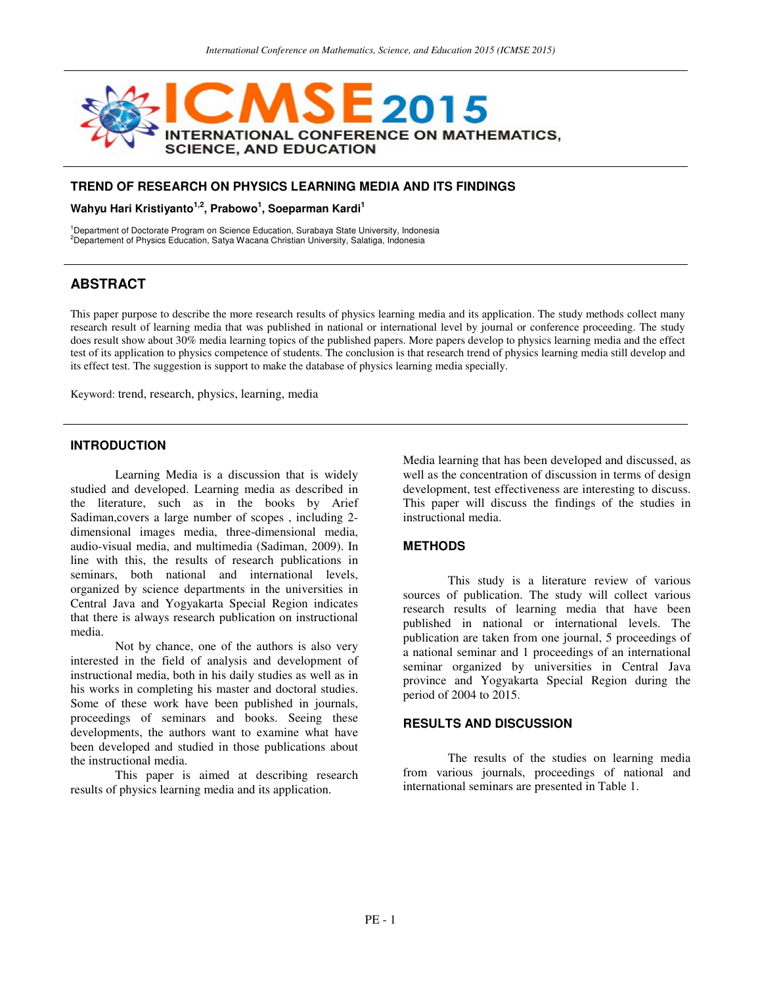

## **TREND OF RESEARCH ON PHYSICS LEARNING MEDIA AND ITS FINDINGS**

**Wahyu Hari Kristiyanto1,2, Prabowo<sup>1</sup> , Soeparman Kardi<sup>1</sup>**

<sup>1</sup>Department of Doctorate Program on Science Education, Surabaya State University, Indonesia <sup>2</sup>Departement of Physics Education, Satya Wacana Christian University, Salatiga, Indonesia

# **ABSTRACT**

This paper purpose to describe the more research results of physics learning media and its application. The study methods collect many research result of learning media that was published in national or international level by journal or conference proceeding. The study does result show about 30% media learning topics of the published papers. More papers develop to physics learning media and the effect test of its application to physics competence of students. The conclusion is that research trend of physics learning media still develop and its effect test. The suggestion is support to make the database of physics learning media specially.

Keyword: trend, research, physics, learning, media

### **INTRODUCTION**

Learning Media is a discussion that is widely studied and developed. Learning media as described in the literature, such as in the books by Arief Sadiman,covers a large number of scopes , including 2 dimensional images media, three-dimensional media, audio-visual media, and multimedia (Sadiman, 2009). In line with this, the results of research publications in seminars, both national and international levels, organized by science departments in the universities in Central Java and Yogyakarta Special Region indicates that there is always research publication on instructional media.

Not by chance, one of the authors is also very interested in the field of analysis and development of instructional media, both in his daily studies as well as in his works in completing his master and doctoral studies. Some of these work have been published in journals, proceedings of seminars and books. Seeing these developments, the authors want to examine what have been developed and studied in those publications about the instructional media.

This paper is aimed at describing research results of physics learning media and its application.

Media learning that has been developed and discussed, as well as the concentration of discussion in terms of design development, test effectiveness are interesting to discuss. This paper will discuss the findings of the studies in instructional media.

#### **METHODS**

This study is a literature review of various sources of publication. The study will collect various research results of learning media that have been published in national or international levels. The publication are taken from one journal, 5 proceedings of a national seminar and 1 proceedings of an international seminar organized by universities in Central Java province and Yogyakarta Special Region during the period of 2004 to 2015.

#### **RESULTS AND DISCUSSION**

The results of the studies on learning media from various journals, proceedings of national and international seminars are presented in Table 1.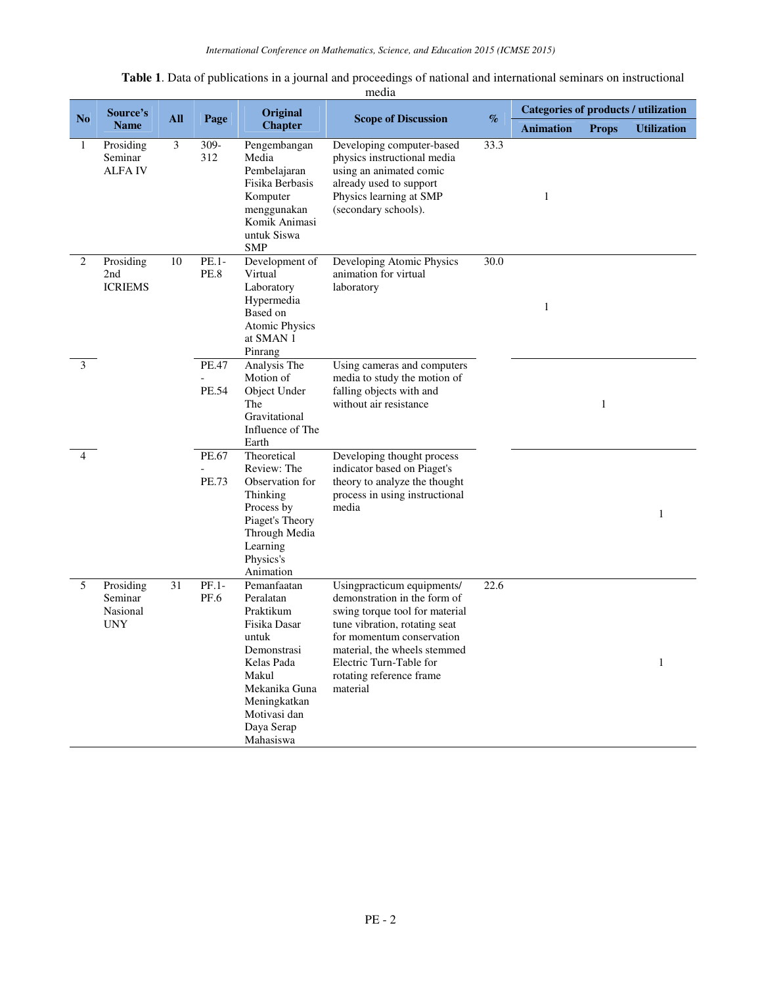| Table 1. Data of publications in a journal and proceedings of national and international seminars on instructional |  |
|--------------------------------------------------------------------------------------------------------------------|--|
| media                                                                                                              |  |

| N <sub>o</sub>           | Source's                                       |            |                        | Original                                                                                                                                                                         |                                                                                                                                                                                                                                                               | $\%$ | <b>Categories of products / utilization</b> |              |                    |
|--------------------------|------------------------------------------------|------------|------------------------|----------------------------------------------------------------------------------------------------------------------------------------------------------------------------------|---------------------------------------------------------------------------------------------------------------------------------------------------------------------------------------------------------------------------------------------------------------|------|---------------------------------------------|--------------|--------------------|
|                          | <b>Name</b>                                    | <b>All</b> | Page                   | <b>Chapter</b>                                                                                                                                                                   | <b>Scope of Discussion</b>                                                                                                                                                                                                                                    |      | <b>Animation</b>                            | <b>Props</b> | <b>Utilization</b> |
| 1                        | Prosiding<br>Seminar<br><b>ALFAIV</b>          | 3          | $309 -$<br>312         | Pengembangan<br>Media<br>Pembelajaran<br>Fisika Berbasis<br>Komputer<br>menggunakan<br>Komik Animasi<br>untuk Siswa<br><b>SMP</b>                                                | Developing computer-based<br>physics instructional media<br>using an animated comic<br>already used to support<br>Physics learning at SMP<br>(secondary schools).                                                                                             | 33.3 | $\mathbf{1}$                                |              |                    |
| $\overline{2}$           | Prosiding<br>2nd<br><b>ICRIEMS</b>             | 10         | $PE.1-$<br><b>PE.8</b> | Development of<br>Virtual<br>Laboratory<br>Hypermedia<br>Based on<br><b>Atomic Physics</b><br>at SMAN 1<br>Pinrang                                                               | Developing Atomic Physics<br>animation for virtual<br>laboratory                                                                                                                                                                                              | 30.0 | $\mathbf{1}$                                |              |                    |
| 3                        |                                                |            | PE.47<br>PE.54         | Analysis The<br>Motion of<br>Object Under<br>The<br>Gravitational<br>Influence of The<br>Earth                                                                                   | Using cameras and computers<br>media to study the motion of<br>falling objects with and<br>without air resistance                                                                                                                                             |      |                                             | 1            |                    |
| $\overline{\mathcal{A}}$ |                                                |            | PE.67<br>PE.73         | Theoretical<br>Review: The<br>Observation for<br>Thinking<br>Process by<br>Piaget's Theory<br>Through Media<br>Learning<br>Physics's<br>Animation                                | Developing thought process<br>indicator based on Piaget's<br>theory to analyze the thought<br>process in using instructional<br>media                                                                                                                         |      |                                             |              | $\mathbf{1}$       |
| 5                        | Prosiding<br>Seminar<br>Nasional<br><b>UNY</b> | 31         | PF.1-<br>PF.6          | Pemanfaatan<br>Peralatan<br>Praktikum<br>Fisika Dasar<br>untuk<br>Demonstrasi<br>Kelas Pada<br>Makul<br>Mekanika Guna<br>Meningkatkan<br>Motivasi dan<br>Daya Serap<br>Mahasiswa | Usingpracticum equipments/<br>demonstration in the form of<br>swing torque tool for material<br>tune vibration, rotating seat<br>for momentum conservation<br>material, the wheels stemmed<br>Electric Turn-Table for<br>rotating reference frame<br>material | 22.6 |                                             |              | $\mathbf{1}$       |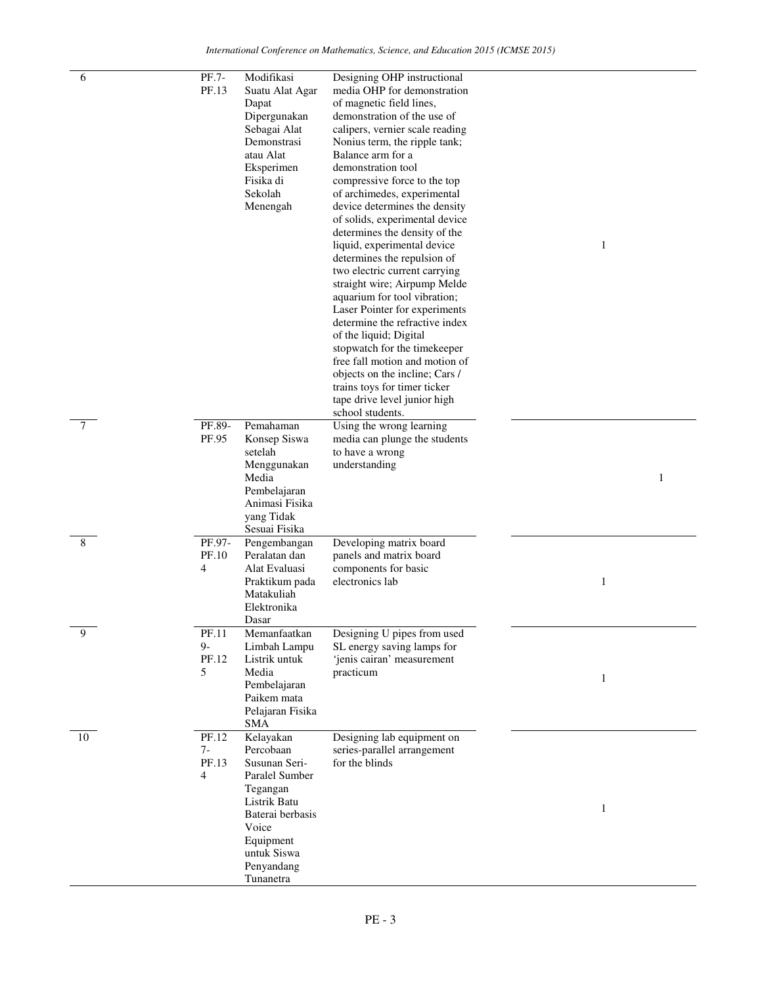| 6  | PF.7-<br>PF.13               | Modifikasi<br>Suatu Alat Agar<br>Dapat<br>Dipergunakan<br>Sebagai Alat<br>Demonstrasi<br>atau Alat<br>Eksperimen<br>Fisika di<br>Sekolah<br>Menengah                      | Designing OHP instructional<br>media OHP for demonstration<br>of magnetic field lines.<br>demonstration of the use of<br>calipers, vernier scale reading<br>Nonius term, the ripple tank;<br>Balance arm for a<br>demonstration tool<br>compressive force to the top<br>of archimedes, experimental<br>device determines the density<br>of solids, experimental device<br>determines the density of the<br>liquid, experimental device<br>determines the repulsion of<br>two electric current carrying<br>straight wire; Airpump Melde<br>aquarium for tool vibration;<br>Laser Pointer for experiments<br>determine the refractive index<br>of the liquid; Digital<br>stopwatch for the timekeeper<br>free fall motion and motion of<br>objects on the incline; Cars /<br>trains toys for timer ticker<br>tape drive level junior high<br>school students. | $\mathbf{1}$ |
|----|------------------------------|---------------------------------------------------------------------------------------------------------------------------------------------------------------------------|-------------------------------------------------------------------------------------------------------------------------------------------------------------------------------------------------------------------------------------------------------------------------------------------------------------------------------------------------------------------------------------------------------------------------------------------------------------------------------------------------------------------------------------------------------------------------------------------------------------------------------------------------------------------------------------------------------------------------------------------------------------------------------------------------------------------------------------------------------------|--------------|
| 7  | PF.89-<br>PF.95              | Pemahaman<br>Konsep Siswa<br>setelah<br>Menggunakan<br>Media<br>Pembelajaran<br>Animasi Fisika<br>yang Tidak<br>Sesuai Fisika                                             | Using the wrong learning<br>media can plunge the students<br>to have a wrong<br>understanding                                                                                                                                                                                                                                                                                                                                                                                                                                                                                                                                                                                                                                                                                                                                                               | 1            |
| 8  | PF.97-<br>PF.10<br>4         | Pengembangan<br>Peralatan dan<br>Alat Evaluasi<br>Praktikum pada<br>Matakuliah<br>Elektronika<br>Dasar                                                                    | Developing matrix board<br>panels and matrix board<br>components for basic<br>electronics lab                                                                                                                                                                                                                                                                                                                                                                                                                                                                                                                                                                                                                                                                                                                                                               | 1            |
| 9  | PF.11<br>$9 -$<br>PF.12<br>5 | Memanfaatkan<br>Limbah Lampu<br>Listrik untuk<br>Media<br>Pembelajaran<br>Paikem mata<br>Pelajaran Fisika<br><b>SMA</b>                                                   | Designing U pipes from used<br>SL energy saving lamps for<br>'jenis cairan' measurement<br>practicum                                                                                                                                                                                                                                                                                                                                                                                                                                                                                                                                                                                                                                                                                                                                                        | $\mathbf{1}$ |
| 10 | PF.12<br>$7-$<br>PF.13<br>4  | Kelayakan<br>Percobaan<br>Susunan Seri-<br>Paralel Sumber<br>Tegangan<br>Listrik Batu<br>Baterai berbasis<br>Voice<br>Equipment<br>untuk Siswa<br>Penyandang<br>Tunanetra | Designing lab equipment on<br>series-parallel arrangement<br>for the blinds                                                                                                                                                                                                                                                                                                                                                                                                                                                                                                                                                                                                                                                                                                                                                                                 | $\mathbf{1}$ |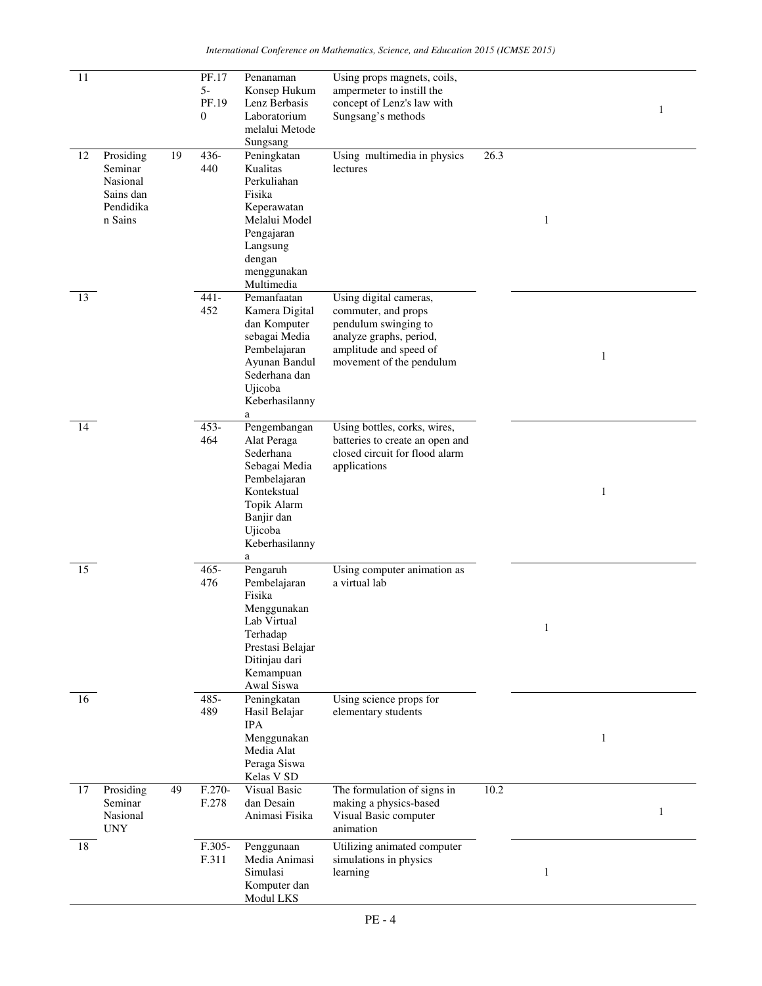*International Conference on Mathematics, Science, and Education 2015 (ICMSE 2015)* 

| 11              |                        |    | PF.17   | Penanaman                      | Using props magnets, coils,                           |      |              |              |              |
|-----------------|------------------------|----|---------|--------------------------------|-------------------------------------------------------|------|--------------|--------------|--------------|
|                 |                        |    | $5-$    | Konsep Hukum                   | ampermeter to instill the                             |      |              |              |              |
|                 |                        |    | PF.19   | Lenz Berbasis                  | concept of Lenz's law with                            |      |              |              | 1            |
|                 |                        |    | 0       | Laboratorium<br>melalui Metode | Sungsang's methods                                    |      |              |              |              |
|                 |                        |    |         | Sungsang                       |                                                       |      |              |              |              |
| 12              | Prosiding              | 19 | 436-    | Peningkatan                    | Using multimedia in physics                           | 26.3 |              |              |              |
|                 | Seminar                |    | 440     | Kualitas                       | lectures                                              |      |              |              |              |
|                 | Nasional               |    |         | Perkuliahan                    |                                                       |      |              |              |              |
|                 | Sains dan<br>Pendidika |    |         | Fisika<br>Keperawatan          |                                                       |      |              |              |              |
|                 | n Sains                |    |         | Melalui Model                  |                                                       |      | 1            |              |              |
|                 |                        |    |         | Pengajaran                     |                                                       |      |              |              |              |
|                 |                        |    |         | Langsung                       |                                                       |      |              |              |              |
|                 |                        |    |         | dengan<br>menggunakan          |                                                       |      |              |              |              |
|                 |                        |    |         | Multimedia                     |                                                       |      |              |              |              |
| 13              |                        |    | 441-    | Pemanfaatan                    | Using digital cameras,                                |      |              |              |              |
|                 |                        |    | 452     | Kamera Digital                 | commuter, and props                                   |      |              |              |              |
|                 |                        |    |         | dan Komputer                   | pendulum swinging to                                  |      |              |              |              |
|                 |                        |    |         | sebagai Media<br>Pembelajaran  | analyze graphs, period,<br>amplitude and speed of     |      |              |              |              |
|                 |                        |    |         | Ayunan Bandul                  | movement of the pendulum                              |      |              | $\mathbf{1}$ |              |
|                 |                        |    |         | Sederhana dan                  |                                                       |      |              |              |              |
|                 |                        |    |         | Ujicoba                        |                                                       |      |              |              |              |
|                 |                        |    |         | Keberhasilanny                 |                                                       |      |              |              |              |
| 14              |                        |    | $453 -$ | a<br>Pengembangan              | Using bottles, corks, wires,                          |      |              |              |              |
|                 |                        |    | 464     | Alat Peraga                    | batteries to create an open and                       |      |              |              |              |
|                 |                        |    |         | Sederhana                      | closed circuit for flood alarm                        |      |              |              |              |
|                 |                        |    |         | Sebagai Media                  | applications                                          |      |              |              |              |
|                 |                        |    |         | Pembelajaran<br>Kontekstual    |                                                       |      |              | $\mathbf{1}$ |              |
|                 |                        |    |         | Topik Alarm                    |                                                       |      |              |              |              |
|                 |                        |    |         | Banjir dan                     |                                                       |      |              |              |              |
|                 |                        |    |         | Ujicoba                        |                                                       |      |              |              |              |
|                 |                        |    |         | Keberhasilanny<br>a            |                                                       |      |              |              |              |
| $\overline{15}$ |                        |    | 465-    | Pengaruh                       | Using computer animation as                           |      |              |              |              |
|                 |                        |    | 476     | Pembelajaran                   | a virtual lab                                         |      |              |              |              |
|                 |                        |    |         | Fisika                         |                                                       |      |              |              |              |
|                 |                        |    |         | Menggunakan                    |                                                       |      |              |              |              |
|                 |                        |    |         | Lab Virtual<br>Terhadap        |                                                       |      | $\mathbf{1}$ |              |              |
|                 |                        |    |         | Prestasi Belajar               |                                                       |      |              |              |              |
|                 |                        |    |         | Ditinjau dari                  |                                                       |      |              |              |              |
|                 |                        |    |         | Kemampuan                      |                                                       |      |              |              |              |
| 16              |                        |    | 485-    | Awal Siswa<br>Peningkatan      | Using science props for                               |      |              |              |              |
|                 |                        |    | 489     | Hasil Belajar                  | elementary students                                   |      |              |              |              |
|                 |                        |    |         | <b>IPA</b>                     |                                                       |      |              |              |              |
|                 |                        |    |         | Menggunakan<br>Media Alat      |                                                       |      |              | 1            |              |
|                 |                        |    |         | Peraga Siswa                   |                                                       |      |              |              |              |
|                 |                        |    |         | Kelas V SD                     |                                                       |      |              |              |              |
| 17              | Prosiding              | 49 | F.270-  | <b>Visual Basic</b>            | The formulation of signs in                           | 10.2 |              |              |              |
|                 | Seminar                |    | F.278   | dan Desain                     | making a physics-based                                |      |              |              | $\mathbf{1}$ |
|                 | Nasional<br><b>UNY</b> |    |         | Animasi Fisika                 | Visual Basic computer<br>animation                    |      |              |              |              |
|                 |                        |    | F.305-  |                                |                                                       |      |              |              |              |
| 18              |                        |    | F.311   | Penggunaan<br>Media Animasi    | Utilizing animated computer<br>simulations in physics |      |              |              |              |
|                 |                        |    |         | Simulasi                       | learning                                              |      | $\mathbf{1}$ |              |              |
|                 |                        |    |         | Komputer dan                   |                                                       |      |              |              |              |
|                 |                        |    |         | Modul LKS                      |                                                       |      |              |              |              |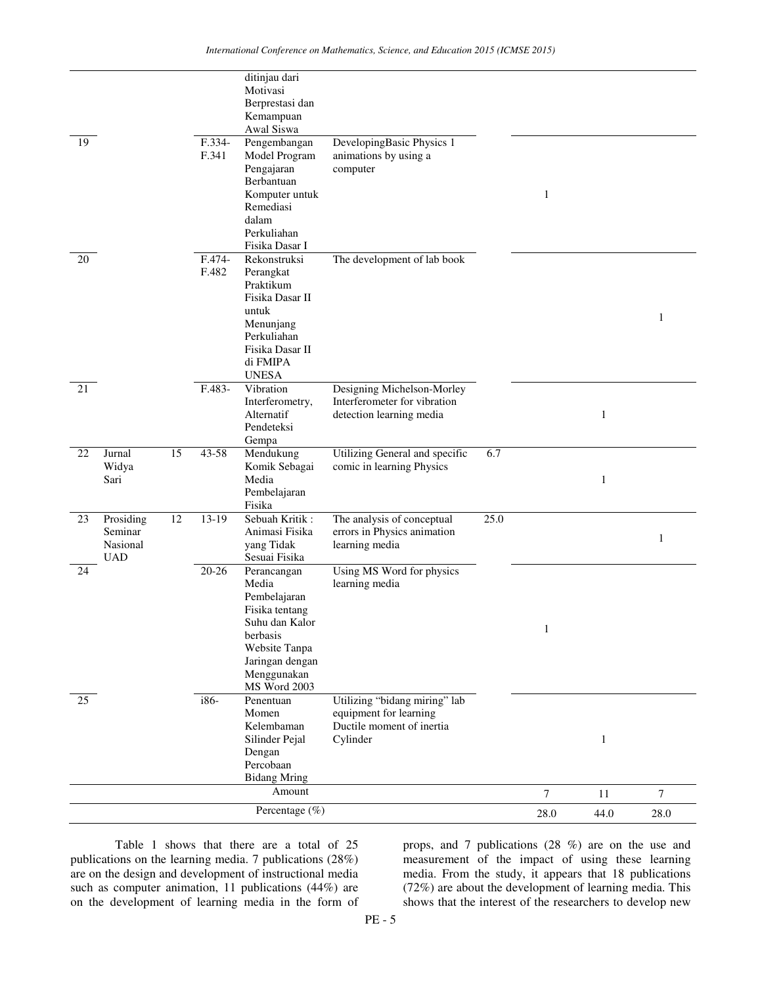|    |                                                |    |                 | ditinjau dari<br>Motivasi<br>Berprestasi dan<br>Kemampuan<br>Awal Siswa                                                                                 |                                                                                                  |      |              |              |              |
|----|------------------------------------------------|----|-----------------|---------------------------------------------------------------------------------------------------------------------------------------------------------|--------------------------------------------------------------------------------------------------|------|--------------|--------------|--------------|
| 19 |                                                |    | F.334-<br>F.341 | Pengembangan<br>Model Program<br>Pengajaran<br>Berbantuan<br>Komputer untuk<br>Remediasi<br>dalam<br>Perkuliahan<br>Fisika Dasar I                      | DevelopingBasic Physics 1<br>animations by using a<br>computer                                   |      | $\mathbf{1}$ |              |              |
| 20 |                                                |    | F.474-<br>F.482 | Rekonstruksi<br>Perangkat<br>Praktikum<br>Fisika Dasar II<br>untuk<br>Menunjang<br>Perkuliahan<br>Fisika Dasar II<br>di FMIPA<br><b>UNESA</b>           | The development of lab book                                                                      |      |              |              | 1            |
| 21 |                                                |    | F.483-          | Vibration<br>Interferometry,<br>Alternatif<br>Pendeteksi<br>Gempa                                                                                       | Designing Michelson-Morley<br>Interferometer for vibration<br>detection learning media           |      |              | $\mathbf{1}$ |              |
| 22 | Jurnal<br>Widya<br>Sari                        | 15 | 43-58           | Mendukung<br>Komik Sebagai<br>Media<br>Pembelajaran<br>Fisika                                                                                           | Utilizing General and specific<br>comic in learning Physics                                      | 6.7  |              | 1            |              |
| 23 | Prosiding<br>Seminar<br>Nasional<br><b>UAD</b> | 12 | 13-19           | Sebuah Kritik:<br>Animasi Fisika<br>yang Tidak<br>Sesuai Fisika                                                                                         | The analysis of conceptual<br>errors in Physics animation<br>learning media                      | 25.0 |              |              | $\mathbf{1}$ |
| 24 |                                                |    | $20 - 26$       | Perancangan<br>Media<br>Pembelajaran<br>Fisika tentang<br>Suhu dan Kalor<br>berbasis<br>Website Tanpa<br>Jaringan dengan<br>Menggunakan<br>MS Word 2003 | Using MS Word for physics<br>learning media                                                      |      | 1            |              |              |
| 25 |                                                |    | i86-            | Penentuan<br>Momen<br>Kelembaman<br>Silinder Pejal<br>Dengan<br>Percobaan<br><b>Bidang Mring</b>                                                        | Utilizing "bidang miring" lab<br>equipment for learning<br>Ductile moment of inertia<br>Cylinder |      |              | $\mathbf{1}$ |              |
|    |                                                |    |                 | Amount                                                                                                                                                  |                                                                                                  |      | $\tau$       | 11           | 7            |
|    |                                                |    |                 | Percentage $(\%)$                                                                                                                                       |                                                                                                  |      | 28.0         | 44.0         | 28.0         |

Table 1 shows that there are a total of 25 publications on the learning media. 7 publications (28%) are on the design and development of instructional media such as computer animation, 11 publications (44%) are on the development of learning media in the form of props, and 7 publications (28 %) are on the use and measurement of the impact of using these learning media. From the study, it appears that 18 publications (72%) are about the development of learning media. This shows that the interest of the researchers to develop new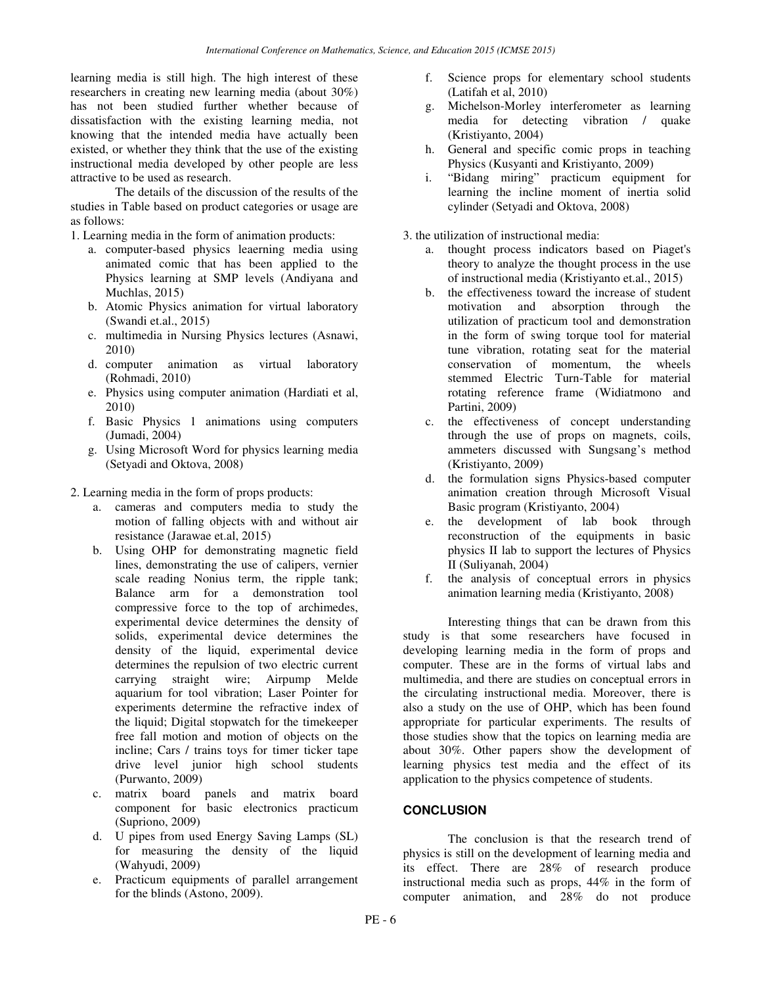learning media is still high. The high interest of these researchers in creating new learning media (about 30%) has not been studied further whether because of dissatisfaction with the existing learning media, not knowing that the intended media have actually been existed, or whether they think that the use of the existing instructional media developed by other people are less attractive to be used as research.

The details of the discussion of the results of the studies in Table based on product categories or usage are as follows:

1. Learning media in the form of animation products:

- a. computer-based physics leaerning media using animated comic that has been applied to the Physics learning at SMP levels (Andiyana and Muchlas, 2015)
- b. Atomic Physics animation for virtual laboratory (Swandi et.al., 2015)
- c. multimedia in Nursing Physics lectures (Asnawi, 2010)
- d. computer animation as virtual laboratory (Rohmadi, 2010)
- e. Physics using computer animation (Hardiati et al, 2010)
- f. Basic Physics 1 animations using computers (Jumadi, 2004)
- g. Using Microsoft Word for physics learning media (Setyadi and Oktova, 2008)
- 2. Learning media in the form of props products:
	- a. cameras and computers media to study the motion of falling objects with and without air resistance (Jarawae et.al, 2015)
	- b. Using OHP for demonstrating magnetic field lines, demonstrating the use of calipers, vernier scale reading Nonius term, the ripple tank; Balance arm for a demonstration tool compressive force to the top of archimedes, experimental device determines the density of solids, experimental device determines the density of the liquid, experimental device determines the repulsion of two electric current carrying straight wire; Airpump Melde aquarium for tool vibration; Laser Pointer for experiments determine the refractive index of the liquid; Digital stopwatch for the timekeeper free fall motion and motion of objects on the incline; Cars / trains toys for timer ticker tape drive level junior high school students (Purwanto, 2009)
	- c. matrix board panels and matrix board component for basic electronics practicum (Supriono, 2009)
	- d. U pipes from used Energy Saving Lamps (SL) for measuring the density of the liquid (Wahyudi, 2009)
	- e. Practicum equipments of parallel arrangement for the blinds (Astono, 2009).
- f. Science props for elementary school students (Latifah et al, 2010)
- g. Michelson-Morley interferometer as learning media for detecting vibration / quake (Kristiyanto, 2004)
- h. General and specific comic props in teaching Physics (Kusyanti and Kristiyanto, 2009)
- i. "Bidang miring" practicum equipment for learning the incline moment of inertia solid cylinder (Setyadi and Oktova, 2008)
- 3. the utilization of instructional media:
	- a. thought process indicators based on Piaget's theory to analyze the thought process in the use of instructional media (Kristiyanto et.al., 2015)
	- b. the effectiveness toward the increase of student motivation and absorption through the utilization of practicum tool and demonstration in the form of swing torque tool for material tune vibration, rotating seat for the material conservation of momentum, the wheels stemmed Electric Turn-Table for material rotating reference frame (Widiatmono and Partini, 2009)
	- c. the effectiveness of concept understanding through the use of props on magnets, coils, ammeters discussed with Sungsang's method (Kristiyanto, 2009)
	- d. the formulation signs Physics-based computer animation creation through Microsoft Visual Basic program (Kristiyanto, 2004)
	- e. the development of lab book through reconstruction of the equipments in basic physics II lab to support the lectures of Physics II (Suliyanah, 2004)
	- f. the analysis of conceptual errors in physics animation learning media (Kristiyanto, 2008)

Interesting things that can be drawn from this study is that some researchers have focused in developing learning media in the form of props and computer. These are in the forms of virtual labs and multimedia, and there are studies on conceptual errors in the circulating instructional media. Moreover, there is also a study on the use of OHP, which has been found appropriate for particular experiments. The results of those studies show that the topics on learning media are about 30%. Other papers show the development of learning physics test media and the effect of its application to the physics competence of students.

### **CONCLUSION**

The conclusion is that the research trend of physics is still on the development of learning media and its effect. There are 28% of research produce instructional media such as props, 44% in the form of computer animation, and 28% do not produce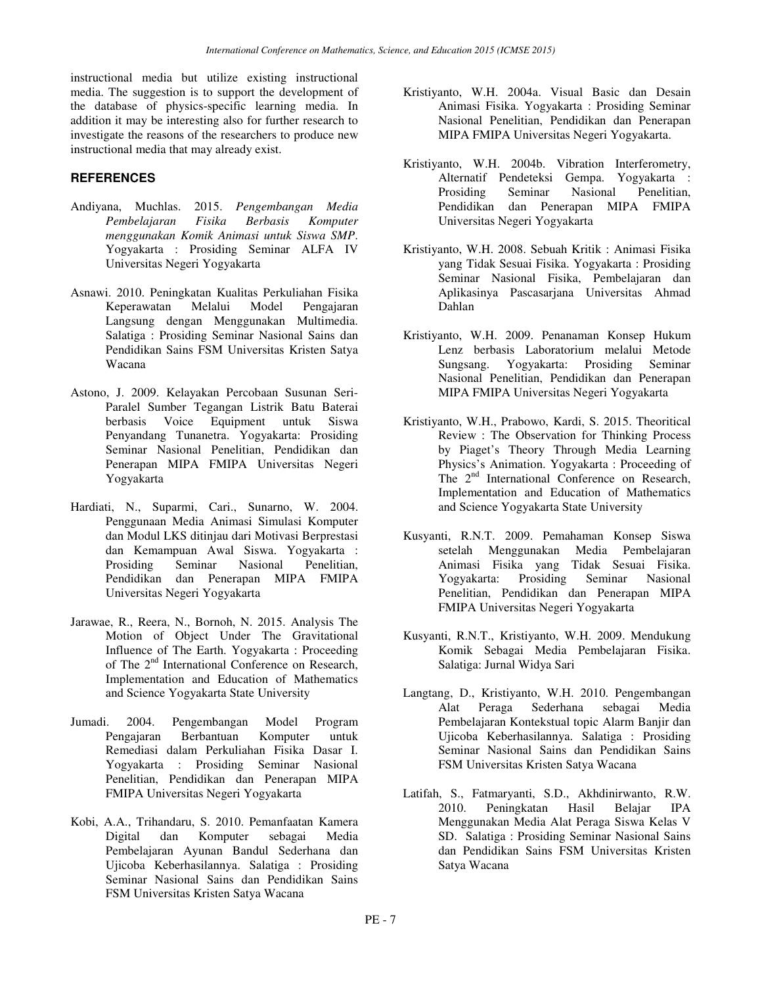instructional media but utilize existing instructional media. The suggestion is to support the development of the database of physics-specific learning media. In addition it may be interesting also for further research to investigate the reasons of the researchers to produce new instructional media that may already exist.

## **REFERENCES**

- Andiyana, Muchlas. 2015. *Pengembangan Media Pembelajaran Fisika Berbasis Komputer menggunakan Komik Animasi untuk Siswa SMP*. Yogyakarta : Prosiding Seminar ALFA IV Universitas Negeri Yogyakarta
- Asnawi. 2010. Peningkatan Kualitas Perkuliahan Fisika Keperawatan Melalui Model Pengajaran Langsung dengan Menggunakan Multimedia. Salatiga : Prosiding Seminar Nasional Sains dan Pendidikan Sains FSM Universitas Kristen Satya Wacana
- Astono, J. 2009. Kelayakan Percobaan Susunan Seri-Paralel Sumber Tegangan Listrik Batu Baterai berbasis Voice Equipment untuk Siswa Penyandang Tunanetra. Yogyakarta: Prosiding Seminar Nasional Penelitian, Pendidikan dan Penerapan MIPA FMIPA Universitas Negeri Yogyakarta
- Hardiati, N., Suparmi, Cari., Sunarno, W. 2004. Penggunaan Media Animasi Simulasi Komputer dan Modul LKS ditinjau dari Motivasi Berprestasi dan Kemampuan Awal Siswa. Yogyakarta : Prosiding Seminar Nasional Penelitian, Pendidikan dan Penerapan MIPA FMIPA Universitas Negeri Yogyakarta
- Jarawae, R., Reera, N., Bornoh, N. 2015. Analysis The Motion of Object Under The Gravitational Influence of The Earth. Yogyakarta : Proceeding of The 2nd International Conference on Research, Implementation and Education of Mathematics and Science Yogyakarta State University
- Jumadi. 2004. Pengembangan Model Program Pengajaran Berbantuan Komputer untuk Remediasi dalam Perkuliahan Fisika Dasar I. Yogyakarta : Prosiding Seminar Nasional Penelitian, Pendidikan dan Penerapan MIPA FMIPA Universitas Negeri Yogyakarta
- Kobi, A.A., Trihandaru, S. 2010. Pemanfaatan Kamera Digital dan Komputer sebagai Media Pembelajaran Ayunan Bandul Sederhana dan Ujicoba Keberhasilannya. Salatiga : Prosiding Seminar Nasional Sains dan Pendidikan Sains FSM Universitas Kristen Satya Wacana
- Kristiyanto, W.H. 2004a. Visual Basic dan Desain Animasi Fisika. Yogyakarta : Prosiding Seminar Nasional Penelitian, Pendidikan dan Penerapan MIPA FMIPA Universitas Negeri Yogyakarta.
- Kristiyanto, W.H. 2004b. Vibration Interferometry, Alternatif Pendeteksi Gempa. Yogyakarta : Penelitian, Pendidikan dan Penerapan MIPA FMIPA Universitas Negeri Yogyakarta
- Kristiyanto, W.H. 2008. Sebuah Kritik : Animasi Fisika yang Tidak Sesuai Fisika. Yogyakarta : Prosiding Seminar Nasional Fisika, Pembelajaran dan Aplikasinya Pascasarjana Universitas Ahmad Dahlan
- Kristiyanto, W.H. 2009. Penanaman Konsep Hukum Lenz berbasis Laboratorium melalui Metode Sungsang. Yogyakarta: Prosiding Seminar Nasional Penelitian, Pendidikan dan Penerapan MIPA FMIPA Universitas Negeri Yogyakarta
- Kristiyanto, W.H., Prabowo, Kardi, S. 2015. Theoritical Review : The Observation for Thinking Process by Piaget's Theory Through Media Learning Physics's Animation. Yogyakarta : Proceeding of The 2<sup>nd</sup> International Conference on Research, Implementation and Education of Mathematics and Science Yogyakarta State University
- Kusyanti, R.N.T. 2009. Pemahaman Konsep Siswa setelah Menggunakan Media Pembelajaran Animasi Fisika yang Tidak Sesuai Fisika. Yogyakarta: Prosiding Seminar Nasional Penelitian, Pendidikan dan Penerapan MIPA FMIPA Universitas Negeri Yogyakarta
- Kusyanti, R.N.T., Kristiyanto, W.H. 2009. Mendukung Komik Sebagai Media Pembelajaran Fisika. Salatiga: Jurnal Widya Sari
- Langtang, D., Kristiyanto, W.H. 2010. Pengembangan Alat Peraga Sederhana sebagai Media Pembelajaran Kontekstual topic Alarm Banjir dan Ujicoba Keberhasilannya. Salatiga : Prosiding Seminar Nasional Sains dan Pendidikan Sains FSM Universitas Kristen Satya Wacana
- Latifah, S., Fatmaryanti, S.D., Akhdinirwanto, R.W. 2010. Peningkatan Hasil Belajar IPA Menggunakan Media Alat Peraga Siswa Kelas V SD. Salatiga : Prosiding Seminar Nasional Sains dan Pendidikan Sains FSM Universitas Kristen Satya Wacana